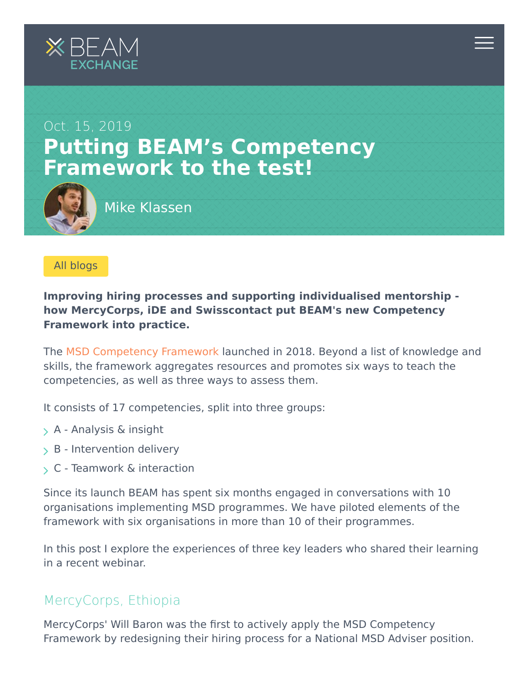



[All blogs](https://beamexchange.org/community/blogs/)

**Improving hiring processes and supporting individualised mentorship how MercyCorps, iDE and Swisscontact put BEAM's new Competency Framework into practice.**

The [MSD Competency Framework l](https://beamexchange.org/msd-competency-framework/)aunched in 2018. Beyond a list of knowledge and skills, the framework aggregates resources and promotes six ways to teach the competencies, as well as three ways to assess them.

It consists of 17 competencies, split into three groups:

- $> A$  Analysis & insight
- $>$  B Intervention delivery
- C Teamwork & interaction

Since its launch BEAM has spent six months engaged in conversations with 10 organisations implementing MSD programmes. We have piloted elements of the framework with six organisations in more than 10 of their programmes.

In this post I explore the experiences of three key leaders who shared their learning in a recent webinar.

## MercyCorps, Ethiopia

MercyCorps' Will Baron was the first to actively apply the MSD Competency Framework by redesigning their hiring process for a National MSD Adviser position.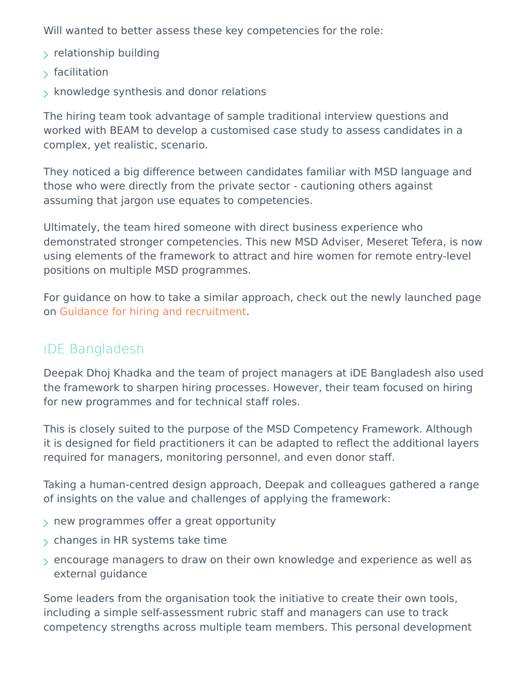Will wanted to better assess these key competencies for the role:

- $\rightarrow$  relationship building
- $\sqrt{ }$  facilitation
- $\rightarrow$  knowledge synthesis and donor relations

The hiring team took advantage of sample traditional interview questions and worked with BEAM to develop a customised case study to assess candidates in a complex, yet realistic, scenario.

They noticed a big difference between candidates familiar with MSD language and those who were directly from the private sector - cautioning others against assuming that jargon use equates to competencies.

Ultimately, the team hired someone with direct business experience who demonstrated stronger competencies. This new MSD Adviser, Meseret Tefera, is now using elements of the framework to attract and hire women for remote entry-level positions on multiple MSD programmes.

For guidance on how to take a similar approach, check out the newly launched page on [Guidance for hiring and recruitment](https://beamexchange.org/msd-competency-framework/guidance-hiring-and-recruitment/).

## iDE Bangladesh

Deepak Dhoj Khadka and the team of project managers at iDE Bangladesh also used the framework to sharpen hiring processes. However, their team focused on hiring for new programmes and for technical staff roles.

This is closely suited to the purpose of the MSD Competency Framework. Although it is designed for field practitioners it can be adapted to reflect the additional layers required for managers, monitoring personnel, and even donor staff.

Taking a human-centred design approach, Deepak and colleagues gathered a range of insights on the value and challenges of applying the framework:

- $>$  new programmes offer a great opportunity
- $>$  changes in HR systems take time
- encourage managers to draw on their own knowledge and experience as well as external guidance

Some leaders from the organisation took the initiative to create their own tools, including a simple self-assessment rubric staff and managers can use to track competency strengths across multiple team members. This personal development